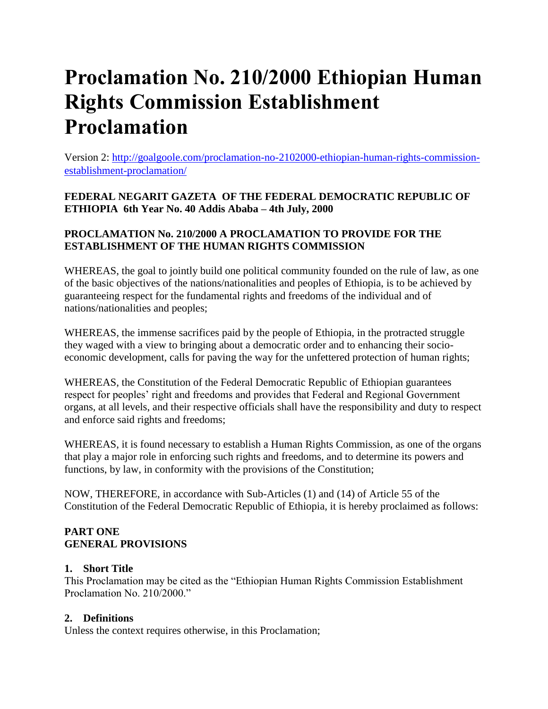# **Proclamation No. 210/2000 Ethiopian Human Rights Commission Establishment Proclamation**

Version 2: [http://goalgoole.com/proclamation-no-2102000-ethiopian-human-rights-commission](http://goalgoole.com/proclamation-no-2102000-ethiopian-human-rights-commission-establishment-proclamation/)[establishment-proclamation/](http://goalgoole.com/proclamation-no-2102000-ethiopian-human-rights-commission-establishment-proclamation/)

**FEDERAL NEGARIT GAZETA OF THE FEDERAL DEMOCRATIC REPUBLIC OF ETHIOPIA 6th Year No. 40 Addis Ababa – 4th July, 2000**

#### **PROCLAMATION No. 210/2000 A PROCLAMATION TO PROVIDE FOR THE ESTABLISHMENT OF THE HUMAN RIGHTS COMMISSION**

WHEREAS, the goal to jointly build one political community founded on the rule of law, as one of the basic objectives of the nations/nationalities and peoples of Ethiopia, is to be achieved by guaranteeing respect for the fundamental rights and freedoms of the individual and of nations/nationalities and peoples;

WHEREAS, the immense sacrifices paid by the people of Ethiopia, in the protracted struggle they waged with a view to bringing about a democratic order and to enhancing their socioeconomic development, calls for paving the way for the unfettered protection of human rights;

WHEREAS, the Constitution of the Federal Democratic Republic of Ethiopian guarantees respect for peoples' right and freedoms and provides that Federal and Regional Government organs, at all levels, and their respective officials shall have the responsibility and duty to respect and enforce said rights and freedoms;

WHEREAS, it is found necessary to establish a Human Rights Commission, as one of the organs that play a major role in enforcing such rights and freedoms, and to determine its powers and functions, by law, in conformity with the provisions of the Constitution;

NOW, THEREFORE, in accordance with Sub-Articles (1) and (14) of Article 55 of the Constitution of the Federal Democratic Republic of Ethiopia, it is hereby proclaimed as follows:

#### **PART ONE GENERAL PROVISIONS**

#### **1. Short Title**

This Proclamation may be cited as the "Ethiopian Human Rights Commission Establishment Proclamation No. 210/2000."

## **2. Definitions**

Unless the context requires otherwise, in this Proclamation;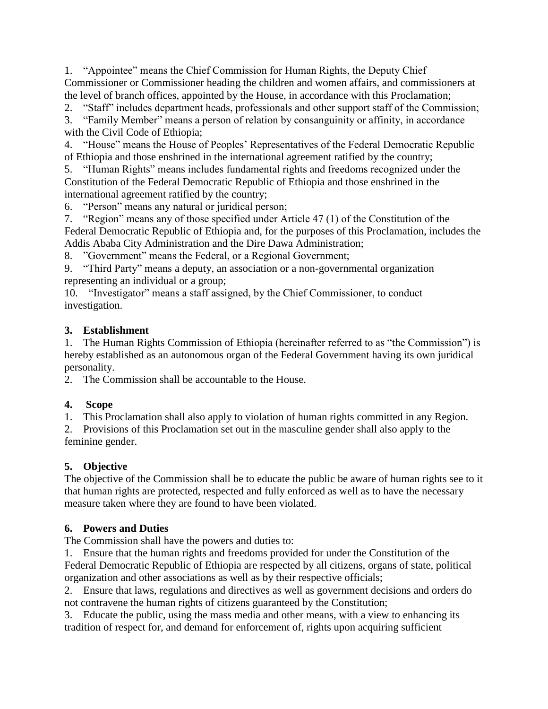1. "Appointee" means the Chief Commission for Human Rights, the Deputy Chief Commissioner or Commissioner heading the children and women affairs, and commissioners at the level of branch offices, appointed by the House, in accordance with this Proclamation;

2. "Staff" includes department heads, professionals and other support staff of the Commission;

3. "Family Member" means a person of relation by consanguinity or affinity, in accordance with the Civil Code of Ethiopia;

4. "House" means the House of Peoples' Representatives of the Federal Democratic Republic of Ethiopia and those enshrined in the international agreement ratified by the country;

5. "Human Rights" means includes fundamental rights and freedoms recognized under the Constitution of the Federal Democratic Republic of Ethiopia and those enshrined in the international agreement ratified by the country;

6. "Person" means any natural or juridical person;

7. "Region" means any of those specified under Article 47 (1) of the Constitution of the Federal Democratic Republic of Ethiopia and, for the purposes of this Proclamation, includes the Addis Ababa City Administration and the Dire Dawa Administration;

8. "Government" means the Federal, or a Regional Government;

9. "Third Party" means a deputy, an association or a non-governmental organization representing an individual or a group;

10. "Investigator" means a staff assigned, by the Chief Commissioner, to conduct investigation.

## **3. Establishment**

1. The Human Rights Commission of Ethiopia (hereinafter referred to as "the Commission") is hereby established as an autonomous organ of the Federal Government having its own juridical personality.

2. The Commission shall be accountable to the House.

## **4. Scope**

1. This Proclamation shall also apply to violation of human rights committed in any Region.

2. Provisions of this Proclamation set out in the masculine gender shall also apply to the feminine gender.

## **5. Objective**

The objective of the Commission shall be to educate the public be aware of human rights see to it that human rights are protected, respected and fully enforced as well as to have the necessary measure taken where they are found to have been violated.

## **6. Powers and Duties**

The Commission shall have the powers and duties to:

1. Ensure that the human rights and freedoms provided for under the Constitution of the Federal Democratic Republic of Ethiopia are respected by all citizens, organs of state, political organization and other associations as well as by their respective officials;

2. Ensure that laws, regulations and directives as well as government decisions and orders do not contravene the human rights of citizens guaranteed by the Constitution;

3. Educate the public, using the mass media and other means, with a view to enhancing its tradition of respect for, and demand for enforcement of, rights upon acquiring sufficient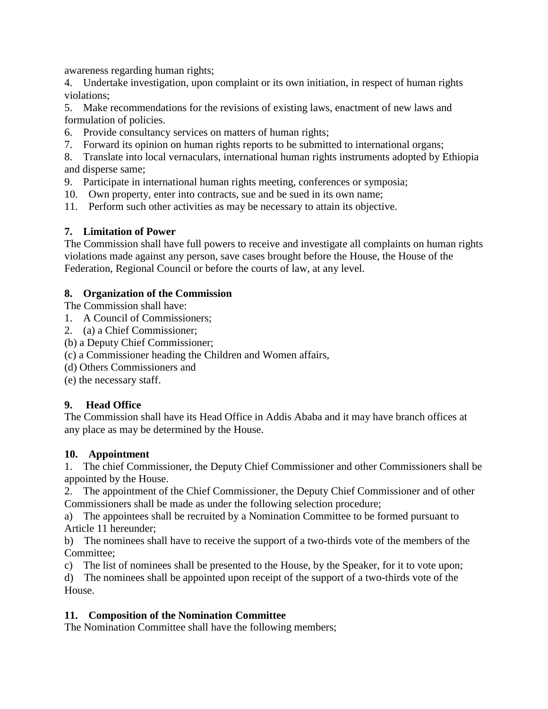awareness regarding human rights;

4. Undertake investigation, upon complaint or its own initiation, in respect of human rights violations;

5. Make recommendations for the revisions of existing laws, enactment of new laws and formulation of policies.

6. Provide consultancy services on matters of human rights;

7. Forward its opinion on human rights reports to be submitted to international organs;

8. Translate into local vernaculars, international human rights instruments adopted by Ethiopia and disperse same;

9. Participate in international human rights meeting, conferences or symposia;

- 10. Own property, enter into contracts, sue and be sued in its own name;
- 11. Perform such other activities as may be necessary to attain its objective.

## **7. Limitation of Power**

The Commission shall have full powers to receive and investigate all complaints on human rights violations made against any person, save cases brought before the House, the House of the Federation, Regional Council or before the courts of law, at any level.

#### **8. Organization of the Commission**

The Commission shall have:

- 1. A Council of Commissioners;
- 2. (a) a Chief Commissioner;
- (b) a Deputy Chief Commissioner;
- (c) a Commissioner heading the Children and Women affairs,
- (d) Others Commissioners and
- (e) the necessary staff.

## **9. Head Office**

The Commission shall have its Head Office in Addis Ababa and it may have branch offices at any place as may be determined by the House.

#### **10. Appointment**

1. The chief Commissioner, the Deputy Chief Commissioner and other Commissioners shall be appointed by the House.

2. The appointment of the Chief Commissioner, the Deputy Chief Commissioner and of other Commissioners shall be made as under the following selection procedure;

a) The appointees shall be recruited by a Nomination Committee to be formed pursuant to Article 11 hereunder;

b) The nominees shall have to receive the support of a two-thirds vote of the members of the Committee;

c) The list of nominees shall be presented to the House, by the Speaker, for it to vote upon;

d) The nominees shall be appointed upon receipt of the support of a two-thirds vote of the House.

## **11. Composition of the Nomination Committee**

The Nomination Committee shall have the following members;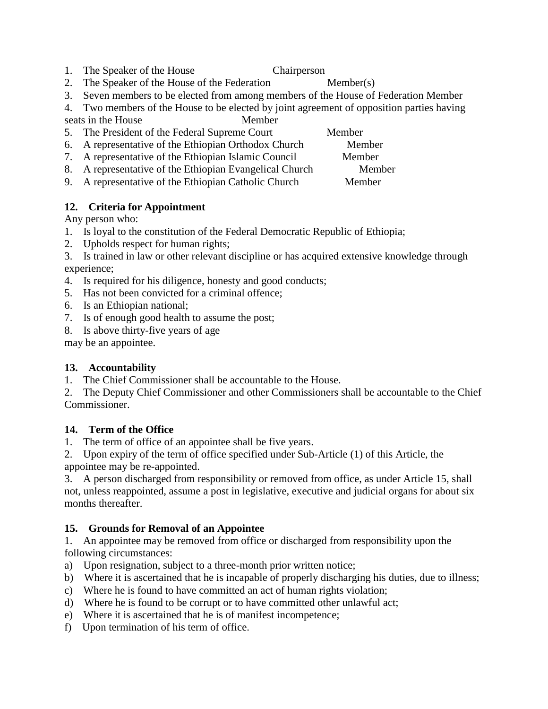- 1. The Speaker of the House Chairperson
- 2. The Speaker of the House of the Federation Member(s)
- 3. Seven members to be elected from among members of the House of Federation Member

4. Two members of the House to be elected by joint agreement of opposition parties having seats in the House Member

- 5. The President of the Federal Supreme Court Member
- 6. A representative of the Ethiopian Orthodox Church Member
- 7. A representative of the Ethiopian Islamic Council Member
- 8. A representative of the Ethiopian Evangelical Church Member
- 9. A representative of the Ethiopian Catholic Church Member

## **12. Criteria for Appointment**

Any person who:

- 1. Is loyal to the constitution of the Federal Democratic Republic of Ethiopia;
- 2. Upholds respect for human rights;
- 3. Is trained in law or other relevant discipline or has acquired extensive knowledge through experience;
- 4. Is required for his diligence, honesty and good conducts;
- 5. Has not been convicted for a criminal offence;
- 6. Is an Ethiopian national;
- 7. Is of enough good health to assume the post;
- 8. Is above thirty-five years of age

may be an appointee.

# **13. Accountability**

1. The Chief Commissioner shall be accountable to the House.

2. The Deputy Chief Commissioner and other Commissioners shall be accountable to the Chief Commissioner.

## **14. Term of the Office**

1. The term of office of an appointee shall be five years.

2. Upon expiry of the term of office specified under Sub-Article (1) of this Article, the appointee may be re-appointed.

3. A person discharged from responsibility or removed from office, as under Article 15, shall not, unless reappointed, assume a post in legislative, executive and judicial organs for about six months thereafter.

# **15. Grounds for Removal of an Appointee**

1. An appointee may be removed from office or discharged from responsibility upon the following circumstances:

- a) Upon resignation, subject to a three-month prior written notice;
- b) Where it is ascertained that he is incapable of properly discharging his duties, due to illness;
- c) Where he is found to have committed an act of human rights violation;
- d) Where he is found to be corrupt or to have committed other unlawful act;
- e) Where it is ascertained that he is of manifest incompetence;
- f) Upon termination of his term of office.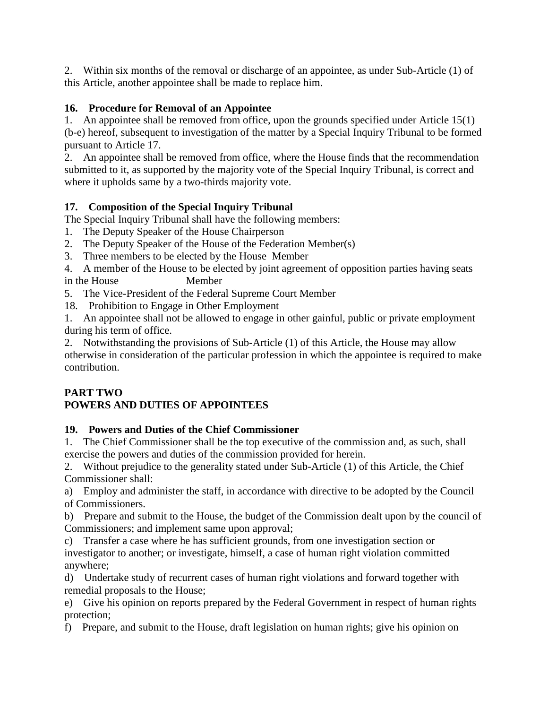2. Within six months of the removal or discharge of an appointee, as under Sub-Article (1) of this Article, another appointee shall be made to replace him.

## **16. Procedure for Removal of an Appointee**

1. An appointee shall be removed from office, upon the grounds specified under Article 15(1) (b-e) hereof, subsequent to investigation of the matter by a Special Inquiry Tribunal to be formed pursuant to Article 17.

2. An appointee shall be removed from office, where the House finds that the recommendation submitted to it, as supported by the majority vote of the Special Inquiry Tribunal, is correct and where it upholds same by a two-thirds majority vote.

## **17. Composition of the Special Inquiry Tribunal**

The Special Inquiry Tribunal shall have the following members:

- 1. The Deputy Speaker of the House Chairperson
- 2. The Deputy Speaker of the House of the Federation Member(s)
- 3. Three members to be elected by the House Member
- 4. A member of the House to be elected by joint agreement of opposition parties having seats in the House Member
- 5. The Vice-President of the Federal Supreme Court Member
- 18. Prohibition to Engage in Other Employment

1. An appointee shall not be allowed to engage in other gainful, public or private employment during his term of office.

2. Notwithstanding the provisions of Sub-Article (1) of this Article, the House may allow otherwise in consideration of the particular profession in which the appointee is required to make contribution.

# **PART TWO**

# **POWERS AND DUTIES OF APPOINTEES**

# **19. Powers and Duties of the Chief Commissioner**

1. The Chief Commissioner shall be the top executive of the commission and, as such, shall exercise the powers and duties of the commission provided for herein.

2. Without prejudice to the generality stated under Sub-Article (1) of this Article, the Chief Commissioner shall:

a) Employ and administer the staff, in accordance with directive to be adopted by the Council of Commissioners.

b) Prepare and submit to the House, the budget of the Commission dealt upon by the council of Commissioners; and implement same upon approval;

c) Transfer a case where he has sufficient grounds, from one investigation section or investigator to another; or investigate, himself, a case of human right violation committed anywhere;

d) Undertake study of recurrent cases of human right violations and forward together with remedial proposals to the House;

e) Give his opinion on reports prepared by the Federal Government in respect of human rights protection;

f) Prepare, and submit to the House, draft legislation on human rights; give his opinion on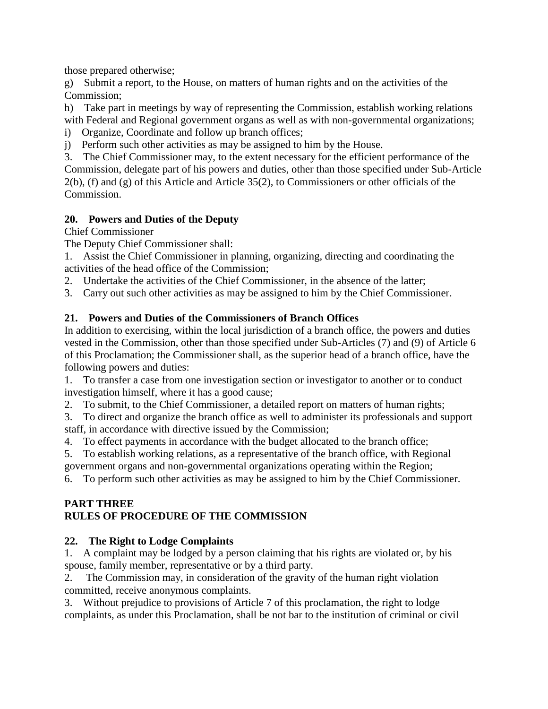those prepared otherwise;

g) Submit a report, to the House, on matters of human rights and on the activities of the Commission;

h) Take part in meetings by way of representing the Commission, establish working relations with Federal and Regional government organs as well as with non-governmental organizations;

- i) Organize, Coordinate and follow up branch offices;
- j) Perform such other activities as may be assigned to him by the House.

3. The Chief Commissioner may, to the extent necessary for the efficient performance of the Commission, delegate part of his powers and duties, other than those specified under Sub-Article 2(b), (f) and (g) of this Article and Article 35(2), to Commissioners or other officials of the Commission.

#### **20. Powers and Duties of the Deputy**

Chief Commissioner

The Deputy Chief Commissioner shall:

1. Assist the Chief Commissioner in planning, organizing, directing and coordinating the activities of the head office of the Commission;

- 2. Undertake the activities of the Chief Commissioner, in the absence of the latter;
- 3. Carry out such other activities as may be assigned to him by the Chief Commissioner.

#### **21. Powers and Duties of the Commissioners of Branch Offices**

In addition to exercising, within the local jurisdiction of a branch office, the powers and duties vested in the Commission, other than those specified under Sub-Articles (7) and (9) of Article 6 of this Proclamation; the Commissioner shall, as the superior head of a branch office, have the following powers and duties:

1. To transfer a case from one investigation section or investigator to another or to conduct investigation himself, where it has a good cause;

2. To submit, to the Chief Commissioner, a detailed report on matters of human rights;

3. To direct and organize the branch office as well to administer its professionals and support staff, in accordance with directive issued by the Commission;

4. To effect payments in accordance with the budget allocated to the branch office;

5. To establish working relations, as a representative of the branch office, with Regional

government organs and non-governmental organizations operating within the Region;

6. To perform such other activities as may be assigned to him by the Chief Commissioner.

#### **PART THREE RULES OF PROCEDURE OF THE COMMISSION**

#### **22. The Right to Lodge Complaints**

1. A complaint may be lodged by a person claiming that his rights are violated or, by his spouse, family member, representative or by a third party.

2. The Commission may, in consideration of the gravity of the human right violation committed, receive anonymous complaints.

3. Without prejudice to provisions of Article 7 of this proclamation, the right to lodge complaints, as under this Proclamation, shall be not bar to the institution of criminal or civil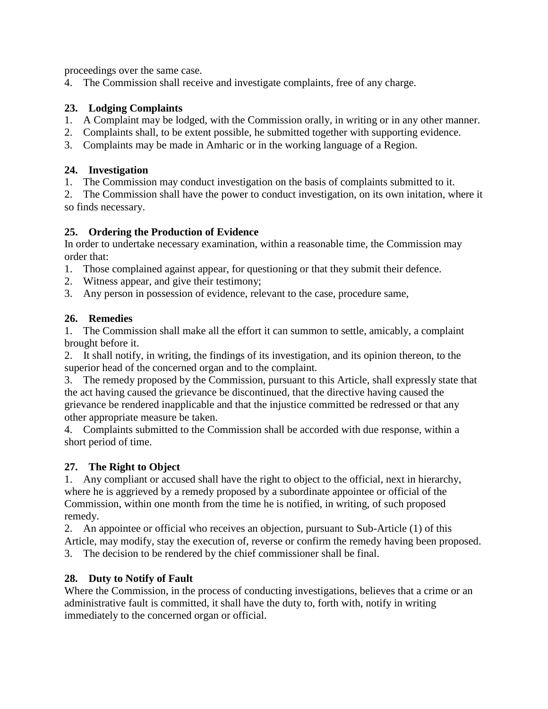proceedings over the same case.

4. The Commission shall receive and investigate complaints, free of any charge.

#### **23. Lodging Complaints**

- 1. A Complaint may be lodged, with the Commission orally, in writing or in any other manner.
- 2. Complaints shall, to be extent possible, he submitted together with supporting evidence.
- 3. Complaints may be made in Amharic or in the working language of a Region.

#### **24. Investigation**

1. The Commission may conduct investigation on the basis of complaints submitted to it.

2. The Commission shall have the power to conduct investigation, on its own initation, where it so finds necessary.

## **25. Ordering the Production of Evidence**

In order to undertake necessary examination, within a reasonable time, the Commission may order that:

- 1. Those complained against appear, for questioning or that they submit their defence.
- 2. Witness appear, and give their testimony;
- 3. Any person in possession of evidence, relevant to the case, procedure same,

## **26. Remedies**

1. The Commission shall make all the effort it can summon to settle, amicably, a complaint brought before it.

2. It shall notify, in writing, the findings of its investigation, and its opinion thereon, to the superior head of the concerned organ and to the complaint.

3. The remedy proposed by the Commission, pursuant to this Article, shall expressly state that the act having caused the grievance be discontinued, that the directive having caused the grievance be rendered inapplicable and that the injustice committed be redressed or that any other appropriate measure be taken.

4. Complaints submitted to the Commission shall be accorded with due response, within a short period of time.

## **27. The Right to Object**

1. Any compliant or accused shall have the right to object to the official, next in hierarchy, where he is aggrieved by a remedy proposed by a subordinate appointee or official of the Commission, within one month from the time he is notified, in writing, of such proposed remedy.

2. An appointee or official who receives an objection, pursuant to Sub-Article (1) of this Article, may modify, stay the execution of, reverse or confirm the remedy having been proposed.

3. The decision to be rendered by the chief commissioner shall be final.

## **28. Duty to Notify of Fault**

Where the Commission, in the process of conducting investigations, believes that a crime or an administrative fault is committed, it shall have the duty to, forth with, notify in writing immediately to the concerned organ or official.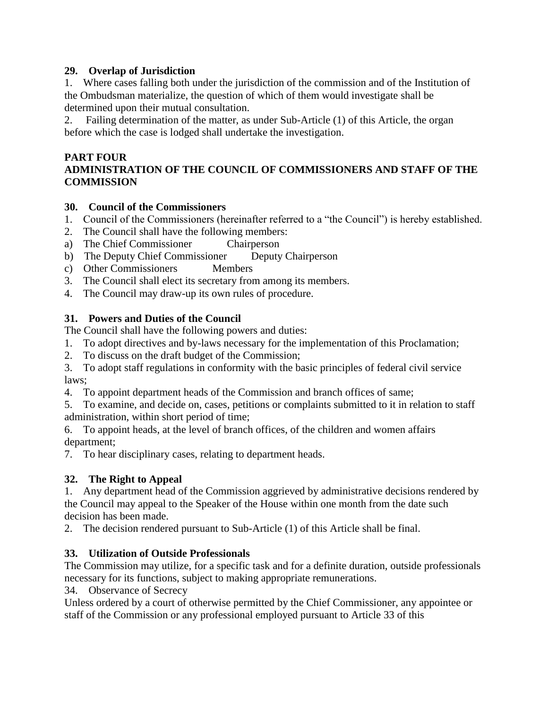#### **29. Overlap of Jurisdiction**

1. Where cases falling both under the jurisdiction of the commission and of the Institution of the Ombudsman materialize, the question of which of them would investigate shall be determined upon their mutual consultation.

2. Failing determination of the matter, as under Sub-Article (1) of this Article, the organ before which the case is lodged shall undertake the investigation.

#### **PART FOUR**

## **ADMINISTRATION OF THE COUNCIL OF COMMISSIONERS AND STAFF OF THE COMMISSION**

#### **30. Council of the Commissioners**

- 1. Council of the Commissioners (hereinafter referred to a "the Council") is hereby established.
- 2. The Council shall have the following members:
- a) The Chief Commissioner Chairperson
- b) The Deputy Chief Commissioner Deputy Chairperson
- c) Other Commissioners Members
- 3. The Council shall elect its secretary from among its members.
- 4. The Council may draw-up its own rules of procedure.

#### **31. Powers and Duties of the Council**

The Council shall have the following powers and duties:

- 1. To adopt directives and by-laws necessary for the implementation of this Proclamation;
- 2. To discuss on the draft budget of the Commission;
- 3. To adopt staff regulations in conformity with the basic principles of federal civil service laws;
- 4. To appoint department heads of the Commission and branch offices of same;

5. To examine, and decide on, cases, petitions or complaints submitted to it in relation to staff administration, within short period of time;

6. To appoint heads, at the level of branch offices, of the children and women affairs department;

7. To hear disciplinary cases, relating to department heads.

## **32. The Right to Appeal**

1. Any department head of the Commission aggrieved by administrative decisions rendered by the Council may appeal to the Speaker of the House within one month from the date such decision has been made.

2. The decision rendered pursuant to Sub-Article (1) of this Article shall be final.

#### **33. Utilization of Outside Professionals**

The Commission may utilize, for a specific task and for a definite duration, outside professionals necessary for its functions, subject to making appropriate remunerations.

34. Observance of Secrecy

Unless ordered by a court of otherwise permitted by the Chief Commissioner, any appointee or staff of the Commission or any professional employed pursuant to Article 33 of this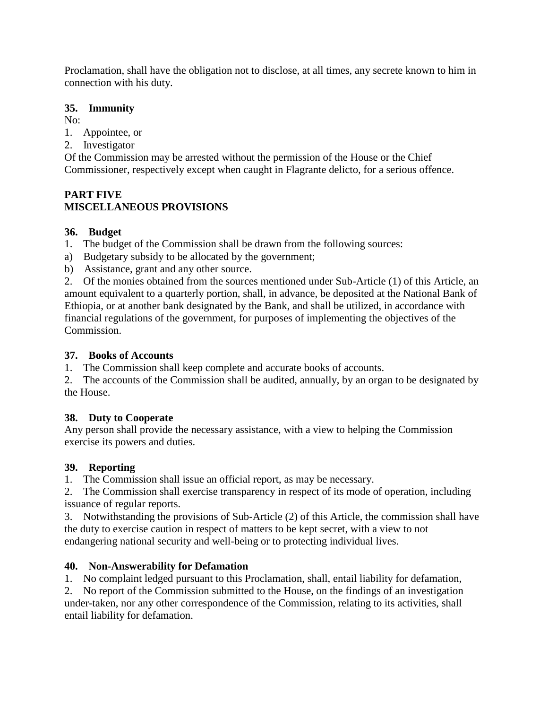Proclamation, shall have the obligation not to disclose, at all times, any secrete known to him in connection with his duty.

#### **35. Immunity**

No:

- 1. Appointee, or
- 2. Investigator

Of the Commission may be arrested without the permission of the House or the Chief Commissioner, respectively except when caught in Flagrante delicto, for a serious offence.

## **PART FIVE MISCELLANEOUS PROVISIONS**

## **36. Budget**

- 1. The budget of the Commission shall be drawn from the following sources:
- a) Budgetary subsidy to be allocated by the government;
- b) Assistance, grant and any other source.

2. Of the monies obtained from the sources mentioned under Sub-Article (1) of this Article, an amount equivalent to a quarterly portion, shall, in advance, be deposited at the National Bank of Ethiopia, or at another bank designated by the Bank, and shall be utilized, in accordance with financial regulations of the government, for purposes of implementing the objectives of the Commission.

#### **37. Books of Accounts**

1. The Commission shall keep complete and accurate books of accounts.

2. The accounts of the Commission shall be audited, annually, by an organ to be designated by the House.

## **38. Duty to Cooperate**

Any person shall provide the necessary assistance, with a view to helping the Commission exercise its powers and duties.

## **39. Reporting**

1. The Commission shall issue an official report, as may be necessary.

2. The Commission shall exercise transparency in respect of its mode of operation, including issuance of regular reports.

3. Notwithstanding the provisions of Sub-Article (2) of this Article, the commission shall have the duty to exercise caution in respect of matters to be kept secret, with a view to not endangering national security and well-being or to protecting individual lives.

## **40. Non-Answerability for Defamation**

1. No complaint ledged pursuant to this Proclamation, shall, entail liability for defamation,

2. No report of the Commission submitted to the House, on the findings of an investigation under-taken, nor any other correspondence of the Commission, relating to its activities, shall entail liability for defamation.